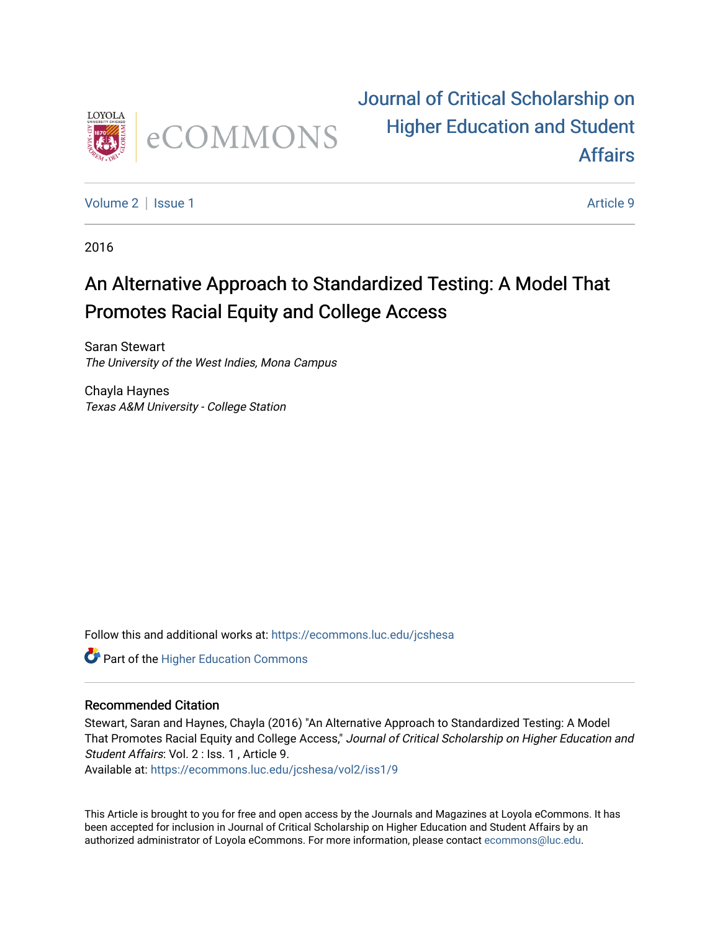

# [Journal of Critical Scholarship on](https://ecommons.luc.edu/jcshesa)  [Higher Education and Student](https://ecommons.luc.edu/jcshesa)  [Affairs](https://ecommons.luc.edu/jcshesa)

[Volume 2](https://ecommons.luc.edu/jcshesa/vol2) | [Issue 1](https://ecommons.luc.edu/jcshesa/vol2/iss1) Article 9

2016

# An Alternative Approach to Standardized Testing: A Model That Promotes Racial Equity and College Access

Saran Stewart The University of the West Indies, Mona Campus

Chayla Haynes Texas A&M University - College Station

Follow this and additional works at: [https://ecommons.luc.edu/jcshesa](https://ecommons.luc.edu/jcshesa?utm_source=ecommons.luc.edu%2Fjcshesa%2Fvol2%2Fiss1%2F9&utm_medium=PDF&utm_campaign=PDFCoverPages) 

**Part of the Higher Education Commons** 

## Recommended Citation

Stewart, Saran and Haynes, Chayla (2016) "An Alternative Approach to Standardized Testing: A Model That Promotes Racial Equity and College Access," Journal of Critical Scholarship on Higher Education and Student Affairs: Vol. 2 : Iss. 1, Article 9.

Available at: [https://ecommons.luc.edu/jcshesa/vol2/iss1/9](https://ecommons.luc.edu/jcshesa/vol2/iss1/9?utm_source=ecommons.luc.edu%2Fjcshesa%2Fvol2%2Fiss1%2F9&utm_medium=PDF&utm_campaign=PDFCoverPages) 

This Article is brought to you for free and open access by the Journals and Magazines at Loyola eCommons. It has been accepted for inclusion in Journal of Critical Scholarship on Higher Education and Student Affairs by an authorized administrator of Loyola eCommons. For more information, please contact [ecommons@luc.edu](mailto:ecommons@luc.edu).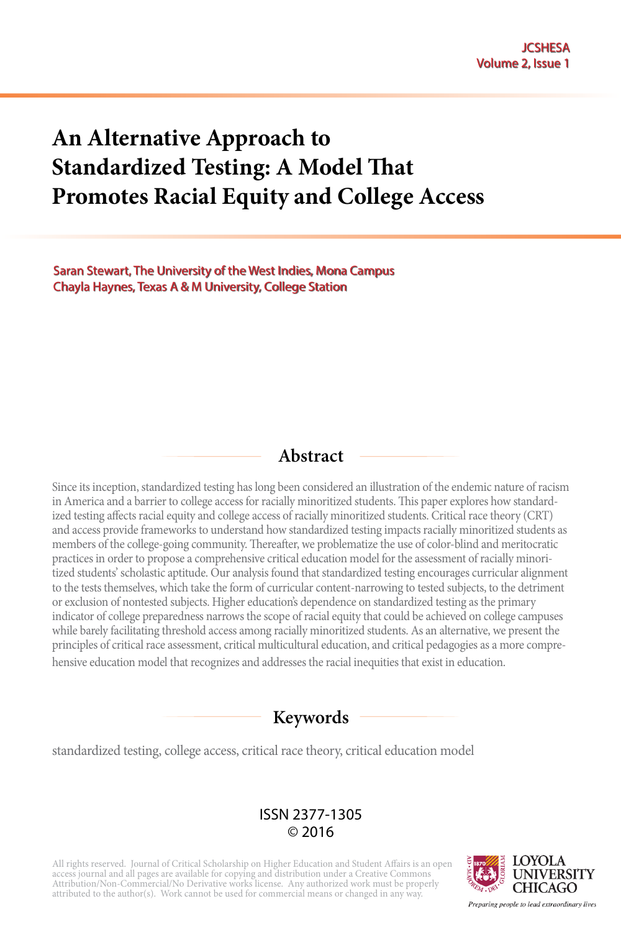# **An Alternative Approach to Standardized Testing: A Model That Promotes Racial Equity and College Access**

Saran Stewart, The University of the West Indies, Mona Campus Chayla Haynes, Texas A & M University, College Station

# **Abstract**

Since its inception, standardized testing has long been considered an illustration of the endemic nature of racism in America and a barrier to college access for racially minoritized students. This paper explores how standardized testing affects racial equity and college access of racially minoritized students. Critical race theory (CRT) and access provide frameworks to understand how standardized testing impacts racially minoritized students as members of the college-going community. Thereafter, we problematize the use of color-blind and meritocratic practices in order to propose a comprehensive critical education model for the assessment of racially minoritized students' scholastic aptitude. Our analysis found that standardized testing encourages curricular alignment to the tests themselves, which take the form of curricular content-narrowing to tested subjects, to the detriment or exclusion of nontested subjects. Higher education's dependence on standardized testing as the primary indicator of college preparedness narrows the scope of racial equity that could be achieved on college campuses while barely facilitating threshold access among racially minoritized students. As an alternative, we present the principles of critical race assessment, critical multicultural education, and critical pedagogies as a more comprehensive education model that recognizes and addresses the racial inequities that exist in education.

## **Keywords**

standardized testing, college access, critical race theory, critical education model

#### ISSN 2377-1305 © 2016

All rights reserved. Journal of Critical Scholarship on Higher Education and Student Affairs is an open<br>access journal and all pages are available for copying and distribution under a Creative Commons<br>Attribution/Non-Comm attributed to the author(s). Work cannot be used for commercial means or changed in any way.



Preparing people to lead extraordinary lives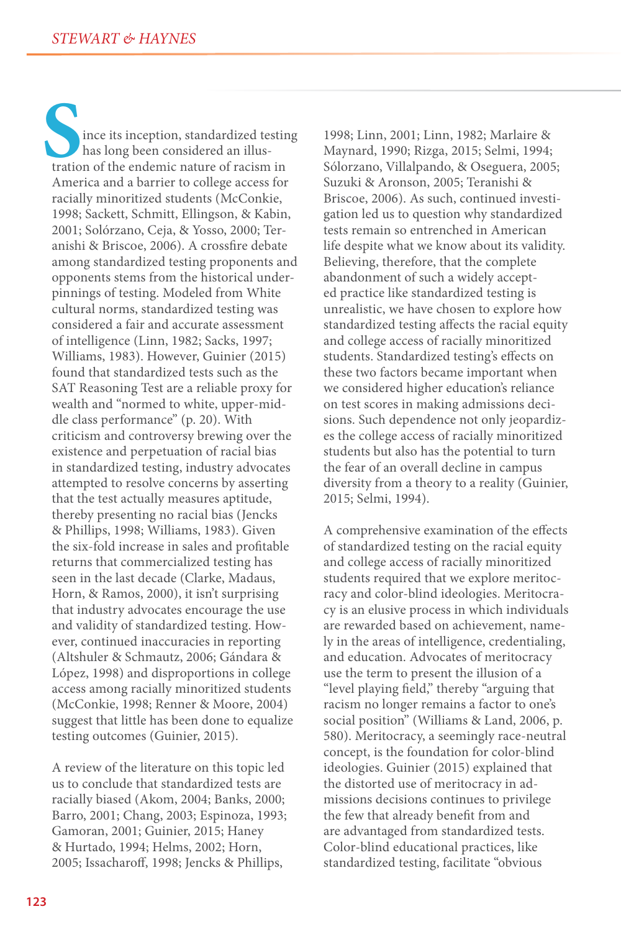ince its inception, standardized testing has long been considered an illustration of the endemic nature of racism in **S**America and a barrier to college access for racially minoritized students (McConkie, 1998; Sackett, Schmitt, Ellingson, & Kabin, 2001; Solórzano, Ceja, & Yosso, 2000; Teranishi & Briscoe, 2006). A crossfire debate among standardized testing proponents and opponents stems from the historical underpinnings of testing. Modeled from White cultural norms, standardized testing was considered a fair and accurate assessment of intelligence (Linn, 1982; Sacks, 1997; Williams, 1983). However, Guinier (2015) found that standardized tests such as the SAT Reasoning Test are a reliable proxy for wealth and "normed to white, upper-middle class performance" (p. 20). With criticism and controversy brewing over the existence and perpetuation of racial bias in standardized testing, industry advocates attempted to resolve concerns by asserting that the test actually measures aptitude, thereby presenting no racial bias (Jencks & Phillips, 1998; Williams, 1983). Given the six-fold increase in sales and profitable returns that commercialized testing has seen in the last decade (Clarke, Madaus, Horn, & Ramos, 2000), it isn't surprising that industry advocates encourage the use and validity of standardized testing. However, continued inaccuracies in reporting (Altshuler & Schmautz, 2006; Gándara & López, 1998) and disproportions in college access among racially minoritized students (McConkie, 1998; Renner & Moore, 2004) suggest that little has been done to equalize testing outcomes (Guinier, 2015).

A review of the literature on this topic led us to conclude that standardized tests are racially biased (Akom, 2004; Banks, 2000; Barro, 2001; Chang, 2003; Espinoza, 1993; Gamoran, 2001; Guinier, 2015; Haney & Hurtado, 1994; Helms, 2002; Horn, 2005; Issacharoff, 1998; Jencks & Phillips,

1998; Linn, 2001; Linn, 1982; Marlaire & Maynard, 1990; Rizga, 2015; Selmi, 1994; Sólorzano, Villalpando, & Oseguera, 2005; Suzuki & Aronson, 2005; Teranishi & Briscoe, 2006). As such, continued investigation led us to question why standardized tests remain so entrenched in American life despite what we know about its validity. Believing, therefore, that the complete abandonment of such a widely accepted practice like standardized testing is unrealistic, we have chosen to explore how standardized testing affects the racial equity and college access of racially minoritized students. Standardized testing's effects on these two factors became important when we considered higher education's reliance on test scores in making admissions decisions. Such dependence not only jeopardizes the college access of racially minoritized students but also has the potential to turn the fear of an overall decline in campus diversity from a theory to a reality (Guinier, 2015; Selmi, 1994).

A comprehensive examination of the effects of standardized testing on the racial equity and college access of racially minoritized students required that we explore meritocracy and color-blind ideologies. Meritocracy is an elusive process in which individuals are rewarded based on achievement, namely in the areas of intelligence, credentialing, and education. Advocates of meritocracy use the term to present the illusion of a "level playing field," thereby "arguing that racism no longer remains a factor to one's social position" (Williams & Land, 2006, p. 580). Meritocracy, a seemingly race-neutral concept, is the foundation for color-blind ideologies. Guinier (2015) explained that the distorted use of meritocracy in admissions decisions continues to privilege the few that already benefit from and are advantaged from standardized tests. Color-blind educational practices, like standardized testing, facilitate "obvious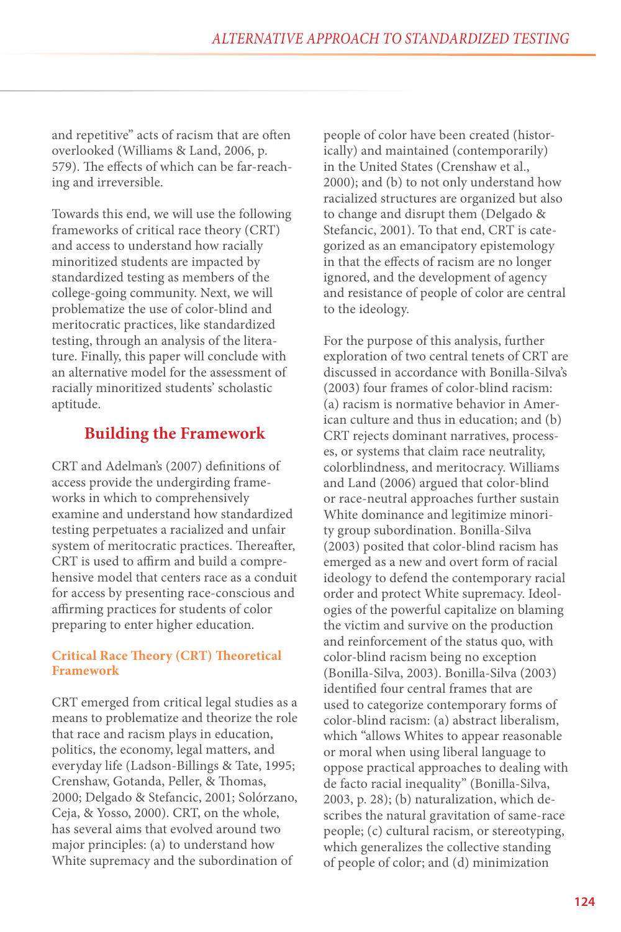and repetitive" acts of racism that are often overlooked (Williams & Land, 2006, p. 579). The effects of which can be far-reaching and irreversible.

Towards this end, we will use the following frameworks of critical race theory (CRT) and access to understand how racially minoritized students are impacted by standardized testing as members of the college-going community. Next, we will problematize the use of color-blind and meritocratic practices, like standardized testing, through an analysis of the literature. Finally, this paper will conclude with an alternative model for the assessment of racially minoritized students' scholastic aptitude.

## **Building the Framework**

CRT and Adelman's (2007) definitions of access provide the undergirding frameworks in which to comprehensively examine and understand how standardized testing perpetuates a racialized and unfair system of meritocratic practices. Thereafter, CRT is used to affirm and build a comprehensive model that centers race as a conduit for access by presenting race-conscious and affirming practices for students of color preparing to enter higher education.

#### **Critical Race Theory (CRT) Theoretical Framework**

CRT emerged from critical legal studies as a means to problematize and theorize the role that race and racism plays in education, politics, the economy, legal matters, and everyday life (Ladson-Billings & Tate, 1995; Crenshaw, Gotanda, Peller, & Thomas, 2000; Delgado & Stefancic, 2001; Solórzano, Ceja, & Yosso, 2000). CRT, on the whole, has several aims that evolved around two major principles: (a) to understand how White supremacy and the subordination of

people of color have been created (historically) and maintained (contemporarily) in the United States (Crenshaw et al., 2000); and (b) to not only understand how racialized structures are organized but also to change and disrupt them (Delgado & Stefancic, 2001). To that end, CRT is categorized as an emancipatory epistemology in that the effects of racism are no longer ignored, and the development of agency and resistance of people of color are central to the ideology.

For the purpose of this analysis, further exploration of two central tenets of CRT are discussed in accordance with Bonilla-Silva's (2003) four frames of color-blind racism: (a) racism is normative behavior in American culture and thus in education; and (b) CRT rejects dominant narratives, processes, or systems that claim race neutrality, colorblindness, and meritocracy. Williams and Land (2006) argued that color-blind or race-neutral approaches further sustain White dominance and legitimize minority group subordination. Bonilla-Silva (2003) posited that color-blind racism has emerged as a new and overt form of racial ideology to defend the contemporary racial order and protect White supremacy. Ideologies of the powerful capitalize on blaming the victim and survive on the production and reinforcement of the status quo, with color-blind racism being no exception (Bonilla-Silva, 2003). Bonilla-Silva (2003) identified four central frames that are used to categorize contemporary forms of color-blind racism: (a) abstract liberalism, which "allows Whites to appear reasonable or moral when using liberal language to oppose practical approaches to dealing with de facto racial inequality" (Bonilla-Silva, 2003, p. 28); (b) naturalization, which describes the natural gravitation of same-race people; (c) cultural racism, or stereotyping, which generalizes the collective standing of people of color; and (d) minimization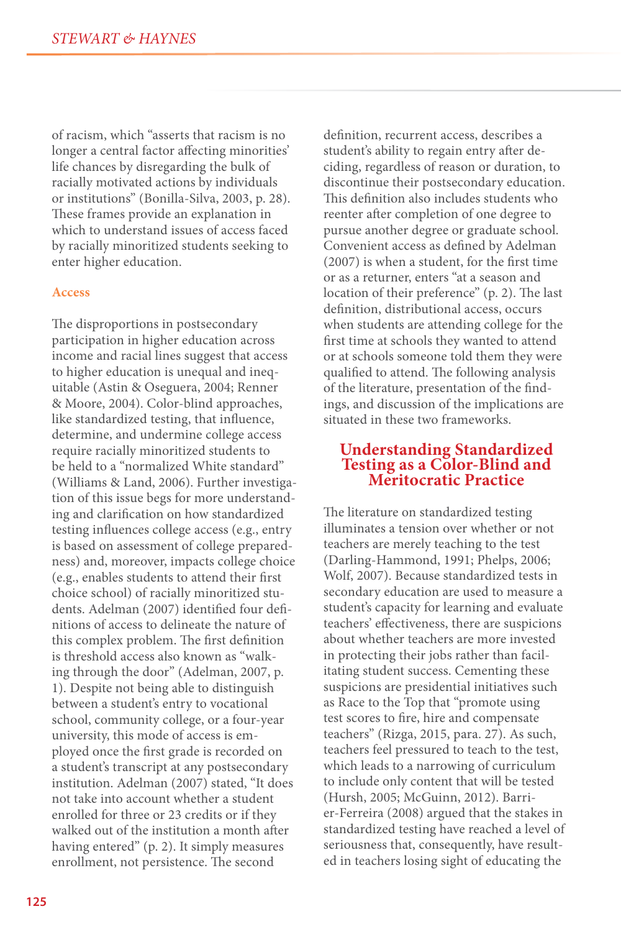of racism, which "asserts that racism is no longer a central factor affecting minorities' life chances by disregarding the bulk of racially motivated actions by individuals or institutions" (Bonilla-Silva, 2003, p. 28). These frames provide an explanation in which to understand issues of access faced by racially minoritized students seeking to enter higher education.

#### **Access**

The disproportions in postsecondary participation in higher education across income and racial lines suggest that access to higher education is unequal and inequitable (Astin & Oseguera, 2004; Renner & Moore, 2004). Color-blind approaches, like standardized testing, that influence, determine, and undermine college access require racially minoritized students to be held to a "normalized White standard" (Williams & Land, 2006). Further investigation of this issue begs for more understanding and clarification on how standardized testing influences college access (e.g., entry is based on assessment of college preparedness) and, moreover, impacts college choice (e.g., enables students to attend their first choice school) of racially minoritized students. Adelman (2007) identified four definitions of access to delineate the nature of this complex problem. The first definition is threshold access also known as "walking through the door" (Adelman, 2007, p. 1). Despite not being able to distinguish between a student's entry to vocational school, community college, or a four-year university, this mode of access is employed once the first grade is recorded on a student's transcript at any postsecondary institution. Adelman (2007) stated, "It does not take into account whether a student enrolled for three or 23 credits or if they walked out of the institution a month after having entered" (p. 2). It simply measures enrollment, not persistence. The second

definition, recurrent access, describes a student's ability to regain entry after deciding, regardless of reason or duration, to discontinue their postsecondary education. This definition also includes students who reenter after completion of one degree to pursue another degree or graduate school. Convenient access as defined by Adelman (2007) is when a student, for the first time or as a returner, enters "at a season and location of their preference" (p. 2). The last definition, distributional access, occurs when students are attending college for the first time at schools they wanted to attend or at schools someone told them they were qualified to attend. The following analysis of the literature, presentation of the findings, and discussion of the implications are situated in these two frameworks.

# **Understanding Standardized Testing as a Color-Blind and Meritocratic Practice**

The literature on standardized testing illuminates a tension over whether or not teachers are merely teaching to the test (Darling-Hammond, 1991; Phelps, 2006; Wolf, 2007). Because standardized tests in secondary education are used to measure a student's capacity for learning and evaluate teachers' effectiveness, there are suspicions about whether teachers are more invested in protecting their jobs rather than facilitating student success. Cementing these suspicions are presidential initiatives such as Race to the Top that "promote using test scores to fire, hire and compensate teachers" (Rizga, 2015, para. 27). As such, teachers feel pressured to teach to the test, which leads to a narrowing of curriculum to include only content that will be tested (Hursh, 2005; McGuinn, 2012). Barrier-Ferreira (2008) argued that the stakes in standardized testing have reached a level of seriousness that, consequently, have resulted in teachers losing sight of educating the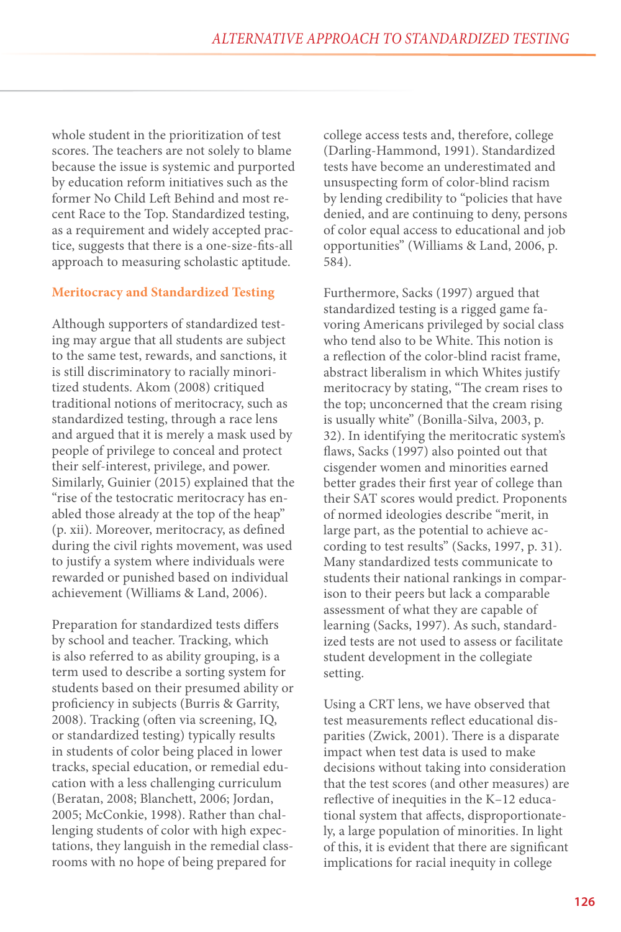whole student in the prioritization of test scores. The teachers are not solely to blame because the issue is systemic and purported by education reform initiatives such as the former No Child Left Behind and most recent Race to the Top. Standardized testing, as a requirement and widely accepted practice, suggests that there is a one-size-fits-all approach to measuring scholastic aptitude.

#### **Meritocracy and Standardized Testing**

Although supporters of standardized testing may argue that all students are subject to the same test, rewards, and sanctions, it is still discriminatory to racially minoritized students. Akom (2008) critiqued traditional notions of meritocracy, such as standardized testing, through a race lens and argued that it is merely a mask used by people of privilege to conceal and protect their self-interest, privilege, and power. Similarly, Guinier (2015) explained that the "rise of the testocratic meritocracy has enabled those already at the top of the heap" (p. xii). Moreover, meritocracy, as defined during the civil rights movement, was used to justify a system where individuals were rewarded or punished based on individual achievement (Williams & Land, 2006).

Preparation for standardized tests differs by school and teacher. Tracking, which is also referred to as ability grouping, is a term used to describe a sorting system for students based on their presumed ability or proficiency in subjects (Burris & Garrity, 2008). Tracking (often via screening, IQ, or standardized testing) typically results in students of color being placed in lower tracks, special education, or remedial education with a less challenging curriculum (Beratan, 2008; Blanchett, 2006; Jordan, 2005; McConkie, 1998). Rather than challenging students of color with high expectations, they languish in the remedial classrooms with no hope of being prepared for

college access tests and, therefore, college (Darling-Hammond, 1991). Standardized tests have become an underestimated and unsuspecting form of color-blind racism by lending credibility to "policies that have denied, and are continuing to deny, persons of color equal access to educational and job opportunities" (Williams & Land, 2006, p. 584).

Furthermore, Sacks (1997) argued that standardized testing is a rigged game favoring Americans privileged by social class who tend also to be White. This notion is a reflection of the color-blind racist frame, abstract liberalism in which Whites justify meritocracy by stating, "The cream rises to the top; unconcerned that the cream rising is usually white" (Bonilla-Silva, 2003, p. 32). In identifying the meritocratic system's flaws, Sacks (1997) also pointed out that cisgender women and minorities earned better grades their first year of college than their SAT scores would predict. Proponents of normed ideologies describe "merit, in large part, as the potential to achieve according to test results" (Sacks, 1997, p. 31). Many standardized tests communicate to students their national rankings in comparison to their peers but lack a comparable assessment of what they are capable of learning (Sacks, 1997). As such, standardized tests are not used to assess or facilitate student development in the collegiate setting.

Using a CRT lens, we have observed that test measurements reflect educational disparities (Zwick, 2001). There is a disparate impact when test data is used to make decisions without taking into consideration that the test scores (and other measures) are reflective of inequities in the K–12 educational system that affects, disproportionately, a large population of minorities. In light of this, it is evident that there are significant implications for racial inequity in college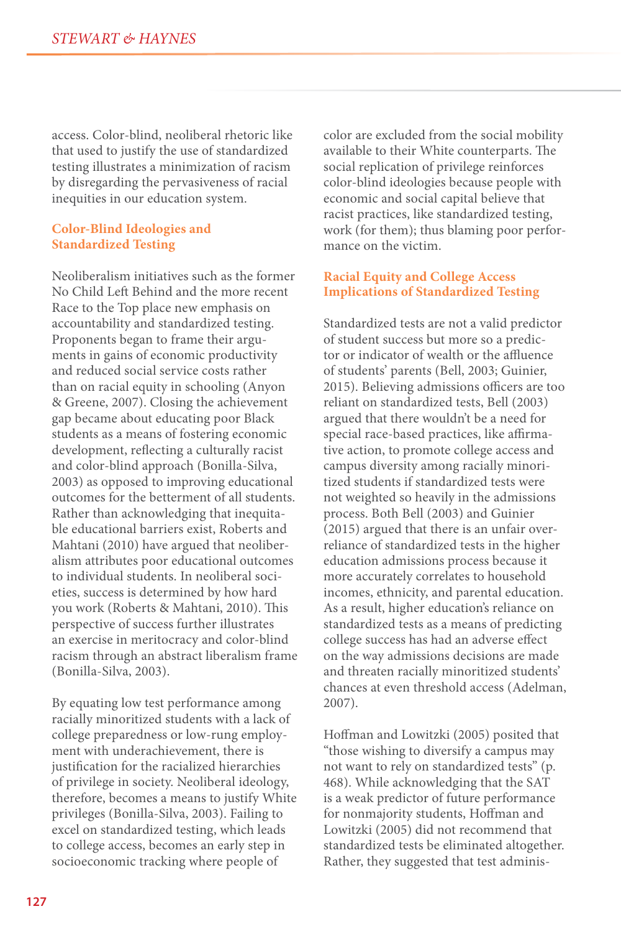access. Color-blind, neoliberal rhetoric like that used to justify the use of standardized testing illustrates a minimization of racism by disregarding the pervasiveness of racial inequities in our education system.

#### **Color-Blind Ideologies and Standardized Testing**

Neoliberalism initiatives such as the former No Child Left Behind and the more recent Race to the Top place new emphasis on accountability and standardized testing. Proponents began to frame their arguments in gains of economic productivity and reduced social service costs rather than on racial equity in schooling (Anyon & Greene, 2007). Closing the achievement gap became about educating poor Black students as a means of fostering economic development, reflecting a culturally racist and color-blind approach (Bonilla-Silva, 2003) as opposed to improving educational outcomes for the betterment of all students. Rather than acknowledging that inequitable educational barriers exist, Roberts and Mahtani (2010) have argued that neoliberalism attributes poor educational outcomes to individual students. In neoliberal societies, success is determined by how hard you work (Roberts & Mahtani, 2010). This perspective of success further illustrates an exercise in meritocracy and color-blind racism through an abstract liberalism frame (Bonilla-Silva, 2003).

By equating low test performance among racially minoritized students with a lack of college preparedness or low-rung employment with underachievement, there is justification for the racialized hierarchies of privilege in society. Neoliberal ideology, therefore, becomes a means to justify White privileges (Bonilla-Silva, 2003). Failing to excel on standardized testing, which leads to college access, becomes an early step in socioeconomic tracking where people of

color are excluded from the social mobility available to their White counterparts. The social replication of privilege reinforces color-blind ideologies because people with economic and social capital believe that racist practices, like standardized testing, work (for them); thus blaming poor performance on the victim.

#### **Racial Equity and College Access Implications of Standardized Testing**

Standardized tests are not a valid predictor of student success but more so a predictor or indicator of wealth or the affluence of students' parents (Bell, 2003; Guinier, 2015). Believing admissions officers are too reliant on standardized tests, Bell (2003) argued that there wouldn't be a need for special race-based practices, like affirmative action, to promote college access and campus diversity among racially minoritized students if standardized tests were not weighted so heavily in the admissions process. Both Bell (2003) and Guinier (2015) argued that there is an unfair overreliance of standardized tests in the higher education admissions process because it more accurately correlates to household incomes, ethnicity, and parental education. As a result, higher education's reliance on standardized tests as a means of predicting college success has had an adverse effect on the way admissions decisions are made and threaten racially minoritized students' chances at even threshold access (Adelman, 2007).

Hoffman and Lowitzki (2005) posited that "those wishing to diversify a campus may not want to rely on standardized tests" (p. 468). While acknowledging that the SAT is a weak predictor of future performance for nonmajority students, Hoffman and Lowitzki (2005) did not recommend that standardized tests be eliminated altogether. Rather, they suggested that test adminis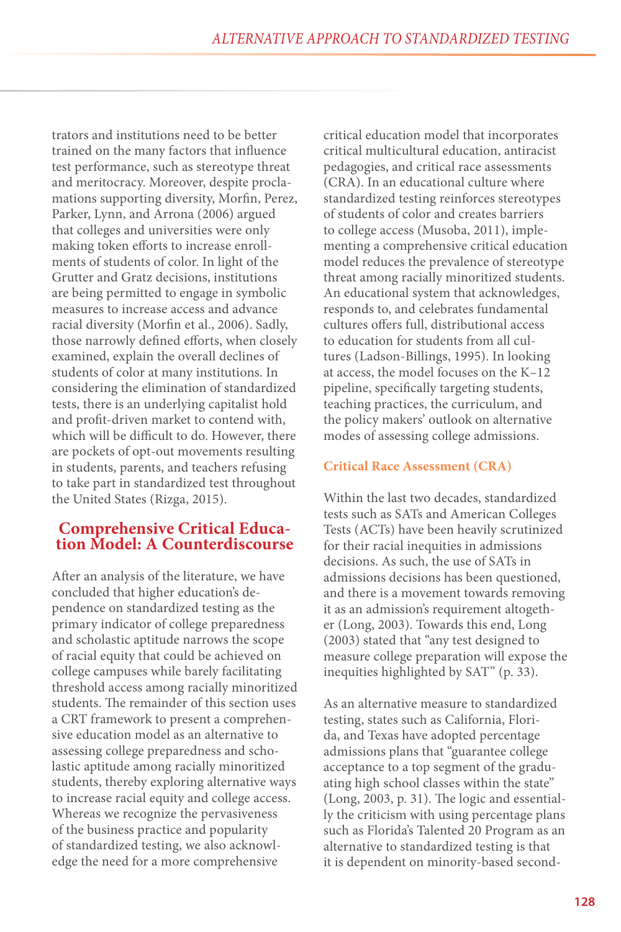trators and institutions need to be better trained on the many factors that influence test performance, such as stereotype threat and meritocracy. Moreover, despite proclamations supporting diversity, Morfin, Perez, Parker, Lynn, and Arrona (2006) argued that colleges and universities were only making token efforts to increase enrollments of students of color. In light of the Grutter and Gratz decisions, institutions are being permitted to engage in symbolic measures to increase access and advance racial diversity (Morfin et al., 2006). Sadly, those narrowly defined efforts, when closely examined, explain the overall declines of students of color at many institutions. In considering the elimination of standardized tests, there is an underlying capitalist hold and profit-driven market to contend with, which will be difficult to do. However, there are pockets of opt-out movements resulting in students, parents, and teachers refusing to take part in standardized test throughout the United States (Rizga, 2015).

# **Comprehensive Critical Educa- tion Model: A Counterdiscourse**

After an analysis of the literature, we have concluded that higher education's dependence on standardized testing as the primary indicator of college preparedness and scholastic aptitude narrows the scope of racial equity that could be achieved on college campuses while barely facilitating threshold access among racially minoritized students. The remainder of this section uses a CRT framework to present a comprehensive education model as an alternative to assessing college preparedness and scholastic aptitude among racially minoritized students, thereby exploring alternative ways to increase racial equity and college access. Whereas we recognize the pervasiveness of the business practice and popularity of standardized testing, we also acknowledge the need for a more comprehensive

critical education model that incorporates critical multicultural education, antiracist pedagogies, and critical race assessments (CRA). In an educational culture where standardized testing reinforces stereotypes of students of color and creates barriers to college access (Musoba, 2011), implementing a comprehensive critical education model reduces the prevalence of stereotype threat among racially minoritized students. An educational system that acknowledges, responds to, and celebrates fundamental cultures offers full, distributional access to education for students from all cultures (Ladson-Billings, 1995). In looking at access, the model focuses on the K–12 pipeline, specifically targeting students, teaching practices, the curriculum, and the policy makers' outlook on alternative modes of assessing college admissions.

#### **Critical Race Assessment (CRA)**

Within the last two decades, standardized tests such as SATs and American Colleges Tests (ACTs) have been heavily scrutinized for their racial inequities in admissions decisions. As such, the use of SATs in admissions decisions has been questioned, and there is a movement towards removing it as an admission's requirement altogether (Long, 2003). Towards this end, Long (2003) stated that "any test designed to measure college preparation will expose the inequities highlighted by SAT" (p. 33).

As an alternative measure to standardized testing, states such as California, Florida, and Texas have adopted percentage admissions plans that "guarantee college acceptance to a top segment of the graduating high school classes within the state" (Long, 2003, p. 31). The logic and essentially the criticism with using percentage plans such as Florida's Talented 20 Program as an alternative to standardized testing is that it is dependent on minority-based second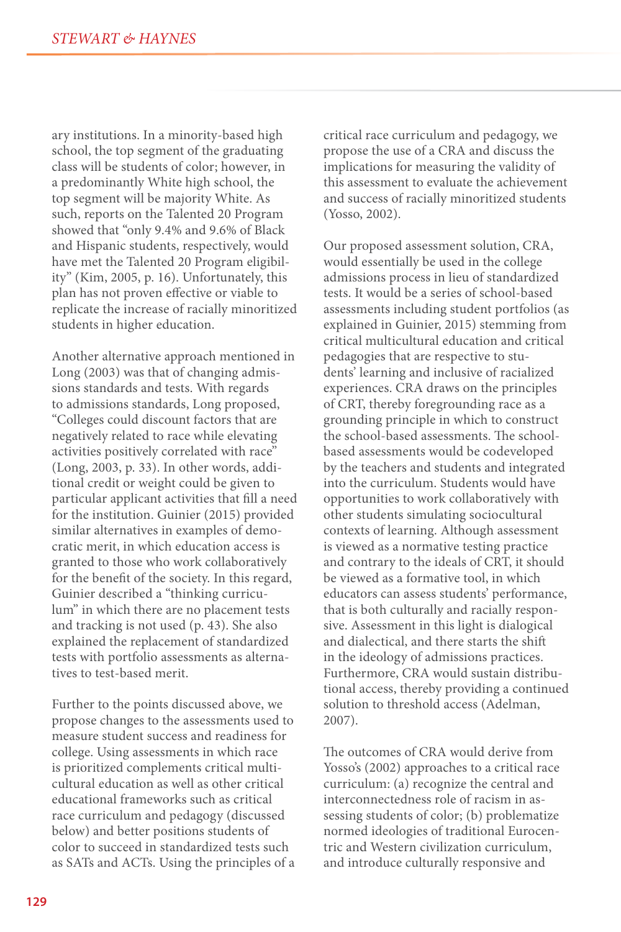ary institutions. In a minority-based high school, the top segment of the graduating class will be students of color; however, in a predominantly White high school, the top segment will be majority White. As such, reports on the Talented 20 Program showed that "only 9.4% and 9.6% of Black and Hispanic students, respectively, would have met the Talented 20 Program eligibility" (Kim, 2005, p. 16). Unfortunately, this plan has not proven effective or viable to replicate the increase of racially minoritized students in higher education.

Another alternative approach mentioned in Long (2003) was that of changing admissions standards and tests. With regards to admissions standards, Long proposed, "Colleges could discount factors that are negatively related to race while elevating activities positively correlated with race" (Long, 2003, p. 33). In other words, additional credit or weight could be given to particular applicant activities that fill a need for the institution. Guinier (2015) provided similar alternatives in examples of democratic merit, in which education access is granted to those who work collaboratively for the benefit of the society. In this regard, Guinier described a "thinking curriculum" in which there are no placement tests and tracking is not used (p. 43). She also explained the replacement of standardized tests with portfolio assessments as alternatives to test-based merit.

Further to the points discussed above, we propose changes to the assessments used to measure student success and readiness for college. Using assessments in which race is prioritized complements critical multicultural education as well as other critical educational frameworks such as critical race curriculum and pedagogy (discussed below) and better positions students of color to succeed in standardized tests such as SATs and ACTs. Using the principles of a critical race curriculum and pedagogy, we propose the use of a CRA and discuss the implications for measuring the validity of this assessment to evaluate the achievement and success of racially minoritized students (Yosso, 2002).

Our proposed assessment solution, CRA, would essentially be used in the college admissions process in lieu of standardized tests. It would be a series of school-based assessments including student portfolios (as explained in Guinier, 2015) stemming from critical multicultural education and critical pedagogies that are respective to students' learning and inclusive of racialized experiences. CRA draws on the principles of CRT, thereby foregrounding race as a grounding principle in which to construct the school-based assessments. The schoolbased assessments would be codeveloped by the teachers and students and integrated into the curriculum. Students would have opportunities to work collaboratively with other students simulating sociocultural contexts of learning. Although assessment is viewed as a normative testing practice and contrary to the ideals of CRT, it should be viewed as a formative tool, in which educators can assess students' performance, that is both culturally and racially responsive. Assessment in this light is dialogical and dialectical, and there starts the shift in the ideology of admissions practices. Furthermore, CRA would sustain distributional access, thereby providing a continued solution to threshold access (Adelman, 2007).

The outcomes of CRA would derive from Yosso's (2002) approaches to a critical race curriculum: (a) recognize the central and interconnectedness role of racism in assessing students of color; (b) problematize normed ideologies of traditional Eurocentric and Western civilization curriculum, and introduce culturally responsive and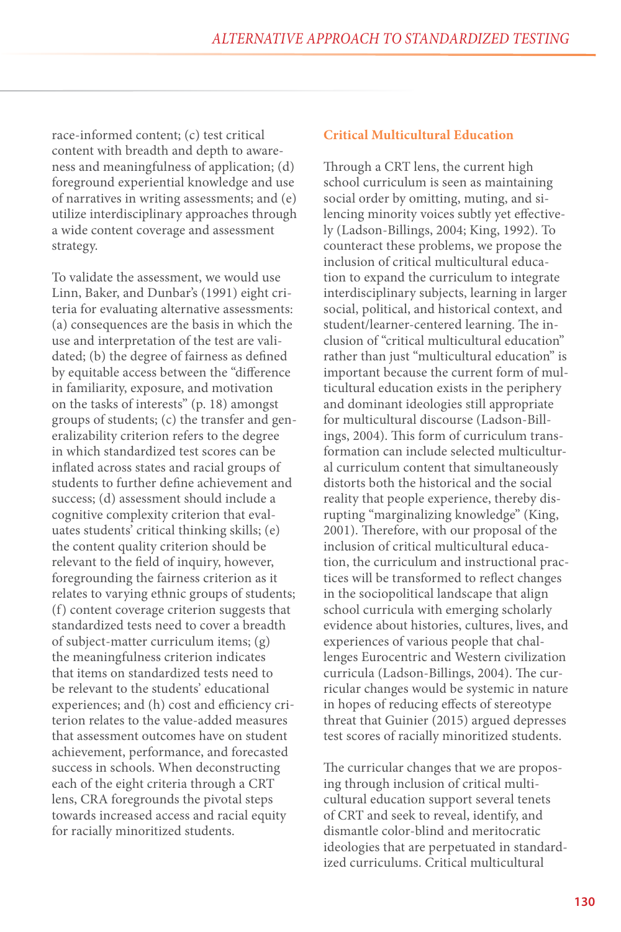race-informed content; (c) test critical content with breadth and depth to awareness and meaningfulness of application; (d) foreground experiential knowledge and use of narratives in writing assessments; and (e) utilize interdisciplinary approaches through a wide content coverage and assessment strategy.

To validate the assessment, we would use Linn, Baker, and Dunbar's (1991) eight criteria for evaluating alternative assessments: (a) consequences are the basis in which the use and interpretation of the test are validated; (b) the degree of fairness as defined by equitable access between the "difference in familiarity, exposure, and motivation on the tasks of interests" (p. 18) amongst groups of students; (c) the transfer and generalizability criterion refers to the degree in which standardized test scores can be inflated across states and racial groups of students to further define achievement and success; (d) assessment should include a cognitive complexity criterion that evaluates students' critical thinking skills; (e) the content quality criterion should be relevant to the field of inquiry, however, foregrounding the fairness criterion as it relates to varying ethnic groups of students; (f) content coverage criterion suggests that standardized tests need to cover a breadth of subject-matter curriculum items; (g) the meaningfulness criterion indicates that items on standardized tests need to be relevant to the students' educational experiences; and (h) cost and efficiency criterion relates to the value-added measures that assessment outcomes have on student achievement, performance, and forecasted success in schools. When deconstructing each of the eight criteria through a CRT lens, CRA foregrounds the pivotal steps towards increased access and racial equity for racially minoritized students.

#### **Critical Multicultural Education**

Through a CRT lens, the current high school curriculum is seen as maintaining social order by omitting, muting, and silencing minority voices subtly yet effectively (Ladson-Billings, 2004; King, 1992). To counteract these problems, we propose the inclusion of critical multicultural education to expand the curriculum to integrate interdisciplinary subjects, learning in larger social, political, and historical context, and student/learner-centered learning. The inclusion of "critical multicultural education" rather than just "multicultural education" is important because the current form of multicultural education exists in the periphery and dominant ideologies still appropriate for multicultural discourse (Ladson-Billings, 2004). This form of curriculum transformation can include selected multicultural curriculum content that simultaneously distorts both the historical and the social reality that people experience, thereby disrupting "marginalizing knowledge" (King, 2001). Therefore, with our proposal of the inclusion of critical multicultural education, the curriculum and instructional practices will be transformed to reflect changes in the sociopolitical landscape that align school curricula with emerging scholarly evidence about histories, cultures, lives, and experiences of various people that challenges Eurocentric and Western civilization curricula (Ladson-Billings, 2004). The curricular changes would be systemic in nature in hopes of reducing effects of stereotype threat that Guinier (2015) argued depresses test scores of racially minoritized students.

The curricular changes that we are proposing through inclusion of critical multicultural education support several tenets of CRT and seek to reveal, identify, and dismantle color-blind and meritocratic ideologies that are perpetuated in standardized curriculums. Critical multicultural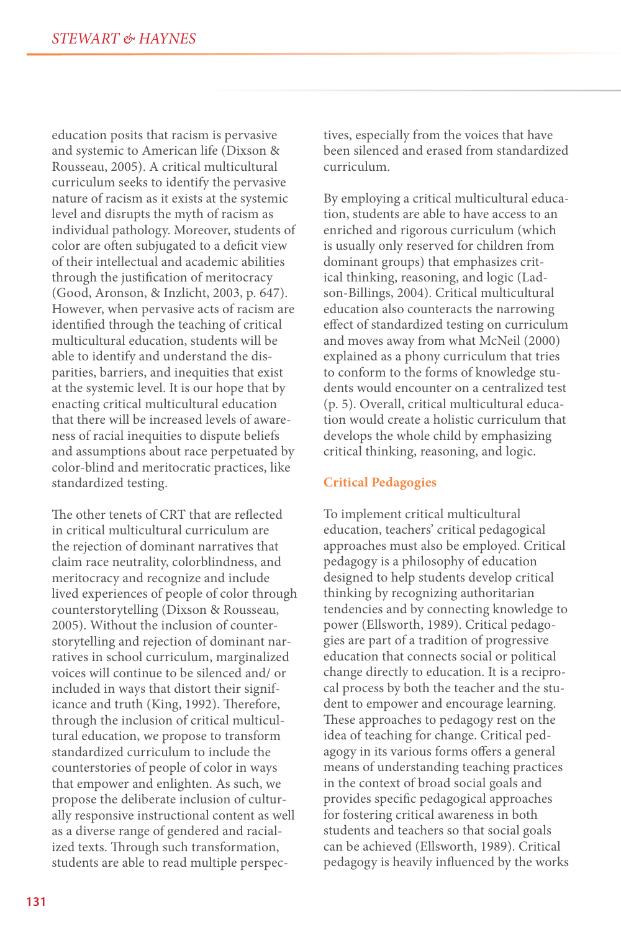education posits that racism is pervasive and systemic to American life (Dixson & Rousseau, 2005). A critical multicultural curriculum seeks to identify the pervasive nature of racism as it exists at the systemic level and disrupts the myth of racism as individual pathology. Moreover, students of color are often subjugated to a deficit view of their intellectual and academic abilities through the justification of meritocracy (Good, Aronson, & Inzlicht, 2003, p. 647). However, when pervasive acts of racism are identified through the teaching of critical multicultural education, students will be able to identify and understand the disparities, barriers, and inequities that exist at the systemic level. It is our hope that by enacting critical multicultural education that there will be increased levels of awareness of racial inequities to dispute beliefs and assumptions about race perpetuated by color-blind and meritocratic practices, like standardized testing.

The other tenets of CRT that are reflected in critical multicultural curriculum are the rejection of dominant narratives that claim race neutrality, colorblindness, and meritocracy and recognize and include lived experiences of people of color through counterstorytelling (Dixson & Rousseau, 2005). Without the inclusion of counterstorytelling and rejection of dominant narratives in school curriculum, marginalized voices will continue to be silenced and/ or included in ways that distort their significance and truth (King, 1992). Therefore, through the inclusion of critical multicultural education, we propose to transform standardized curriculum to include the counterstories of people of color in ways that empower and enlighten. As such, we propose the deliberate inclusion of culturally responsive instructional content as well as a diverse range of gendered and racialized texts. Through such transformation, students are able to read multiple perspectives, especially from the voices that have been silenced and erased from standardized curriculum.

By employing a critical multicultural education, students are able to have access to an enriched and rigorous curriculum (which is usually only reserved for children from dominant groups) that emphasizes critical thinking, reasoning, and logic (Ladson-Billings, 2004). Critical multicultural education also counteracts the narrowing effect of standardized testing on curriculum and moves away from what McNeil (2000) explained as a phony curriculum that tries to conform to the forms of knowledge students would encounter on a centralized test (p. 5). Overall, critical multicultural education would create a holistic curriculum that develops the whole child by emphasizing critical thinking, reasoning, and logic.

#### **Critical Pedagogies**

To implement critical multicultural education, teachers' critical pedagogical approaches must also be employed. Critical pedagogy is a philosophy of education designed to help students develop critical thinking by recognizing authoritarian tendencies and by connecting knowledge to power (Ellsworth, 1989). Critical pedagogies are part of a tradition of progressive education that connects social or political change directly to education. It is a reciprocal process by both the teacher and the student to empower and encourage learning. These approaches to pedagogy rest on the idea of teaching for change. Critical pedagogy in its various forms offers a general means of understanding teaching practices in the context of broad social goals and provides specific pedagogical approaches for fostering critical awareness in both students and teachers so that social goals can be achieved (Ellsworth, 1989). Critical pedagogy is heavily influenced by the works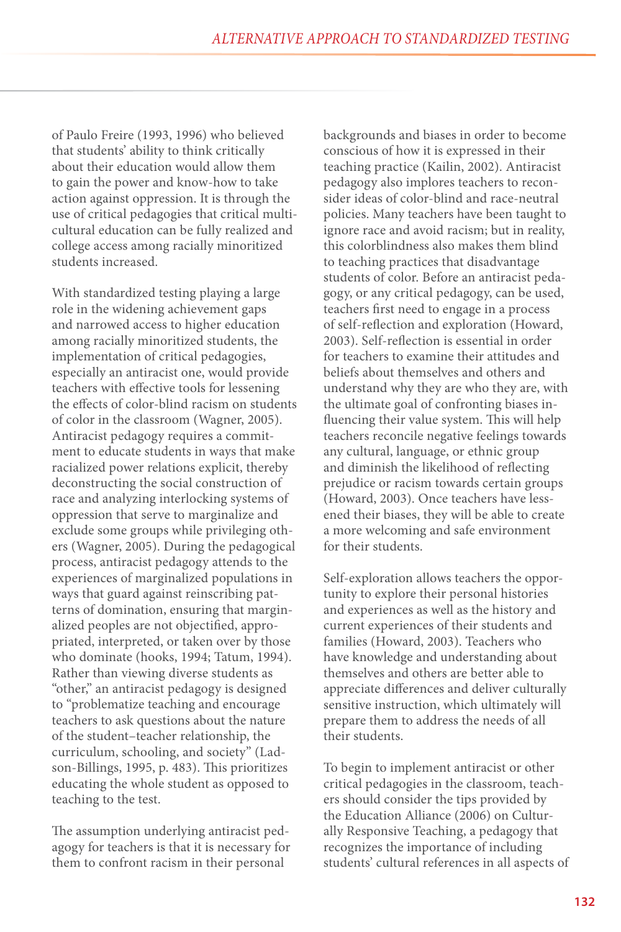of Paulo Freire (1993, 1996) who believed that students' ability to think critically about their education would allow them to gain the power and know-how to take action against oppression. It is through the use of critical pedagogies that critical multicultural education can be fully realized and college access among racially minoritized students increased.

With standardized testing playing a large role in the widening achievement gaps and narrowed access to higher education among racially minoritized students, the implementation of critical pedagogies, especially an antiracist one, would provide teachers with effective tools for lessening the effects of color-blind racism on students of color in the classroom (Wagner, 2005). Antiracist pedagogy requires a commitment to educate students in ways that make racialized power relations explicit, thereby deconstructing the social construction of race and analyzing interlocking systems of oppression that serve to marginalize and exclude some groups while privileging others (Wagner, 2005). During the pedagogical process, antiracist pedagogy attends to the experiences of marginalized populations in ways that guard against reinscribing patterns of domination, ensuring that marginalized peoples are not objectified, appropriated, interpreted, or taken over by those who dominate (hooks, 1994; Tatum, 1994). Rather than viewing diverse students as "other," an antiracist pedagogy is designed to "problematize teaching and encourage teachers to ask questions about the nature of the student–teacher relationship, the curriculum, schooling, and society" (Ladson-Billings, 1995, p. 483). This prioritizes educating the whole student as opposed to teaching to the test.

The assumption underlying antiracist pedagogy for teachers is that it is necessary for them to confront racism in their personal

backgrounds and biases in order to become conscious of how it is expressed in their teaching practice (Kailin, 2002). Antiracist pedagogy also implores teachers to reconsider ideas of color-blind and race-neutral policies. Many teachers have been taught to ignore race and avoid racism; but in reality, this colorblindness also makes them blind to teaching practices that disadvantage students of color. Before an antiracist pedagogy, or any critical pedagogy, can be used, teachers first need to engage in a process of self-reflection and exploration (Howard, 2003). Self-reflection is essential in order for teachers to examine their attitudes and beliefs about themselves and others and understand why they are who they are, with the ultimate goal of confronting biases influencing their value system. This will help teachers reconcile negative feelings towards any cultural, language, or ethnic group and diminish the likelihood of reflecting prejudice or racism towards certain groups (Howard, 2003). Once teachers have lessened their biases, they will be able to create a more welcoming and safe environment for their students.

Self-exploration allows teachers the opportunity to explore their personal histories and experiences as well as the history and current experiences of their students and families (Howard, 2003). Teachers who have knowledge and understanding about themselves and others are better able to appreciate differences and deliver culturally sensitive instruction, which ultimately will prepare them to address the needs of all their students.

To begin to implement antiracist or other critical pedagogies in the classroom, teachers should consider the tips provided by the Education Alliance (2006) on Culturally Responsive Teaching, a pedagogy that recognizes the importance of including students' cultural references in all aspects of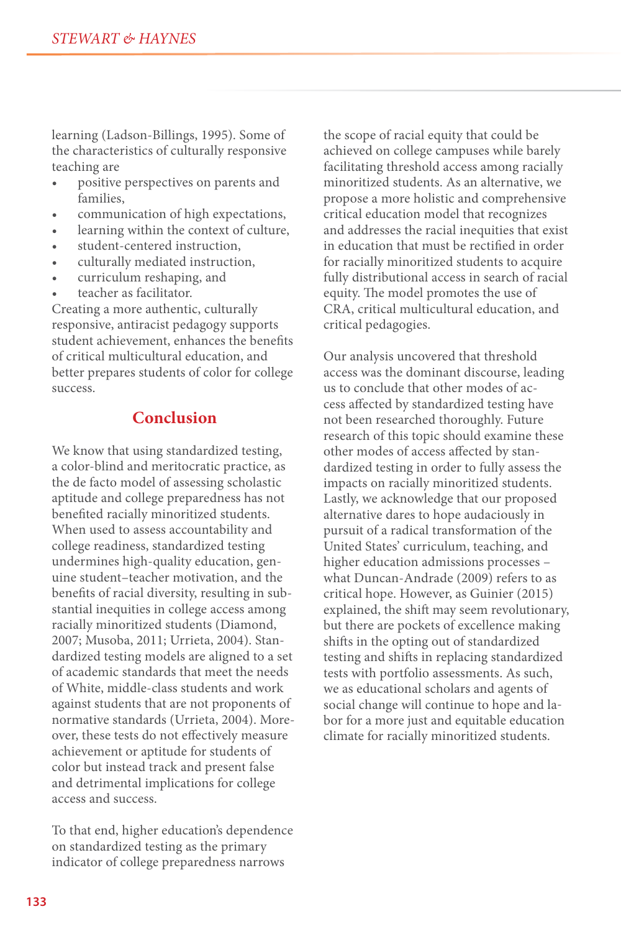learning (Ladson-Billings, 1995). Some of the characteristics of culturally responsive teaching are

- positive perspectives on parents and families,
- communication of high expectations,
- learning within the context of culture,
- student-centered instruction,
- culturally mediated instruction,
- curriculum reshaping, and
- teacher as facilitator.

Creating a more authentic, culturally responsive, antiracist pedagogy supports student achievement, enhances the benefits of critical multicultural education, and better prepares students of color for college success.

### **Conclusion**

We know that using standardized testing, a color-blind and meritocratic practice, as the de facto model of assessing scholastic aptitude and college preparedness has not benefited racially minoritized students. When used to assess accountability and college readiness, standardized testing undermines high-quality education, genuine student–teacher motivation, and the benefits of racial diversity, resulting in substantial inequities in college access among racially minoritized students (Diamond, 2007; Musoba, 2011; Urrieta, 2004). Standardized testing models are aligned to a set of academic standards that meet the needs of White, middle-class students and work against students that are not proponents of normative standards (Urrieta, 2004). Moreover, these tests do not effectively measure achievement or aptitude for students of color but instead track and present false and detrimental implications for college access and success.

To that end, higher education's dependence on standardized testing as the primary indicator of college preparedness narrows

the scope of racial equity that could be achieved on college campuses while barely facilitating threshold access among racially minoritized students. As an alternative, we propose a more holistic and comprehensive critical education model that recognizes and addresses the racial inequities that exist in education that must be rectified in order for racially minoritized students to acquire fully distributional access in search of racial equity. The model promotes the use of CRA, critical multicultural education, and critical pedagogies.

Our analysis uncovered that threshold access was the dominant discourse, leading us to conclude that other modes of access affected by standardized testing have not been researched thoroughly. Future research of this topic should examine these other modes of access affected by standardized testing in order to fully assess the impacts on racially minoritized students. Lastly, we acknowledge that our proposed alternative dares to hope audaciously in pursuit of a radical transformation of the United States' curriculum, teaching, and higher education admissions processes – what Duncan-Andrade (2009) refers to as critical hope. However, as Guinier (2015) explained, the shift may seem revolutionary, but there are pockets of excellence making shifts in the opting out of standardized testing and shifts in replacing standardized tests with portfolio assessments. As such, we as educational scholars and agents of social change will continue to hope and labor for a more just and equitable education climate for racially minoritized students.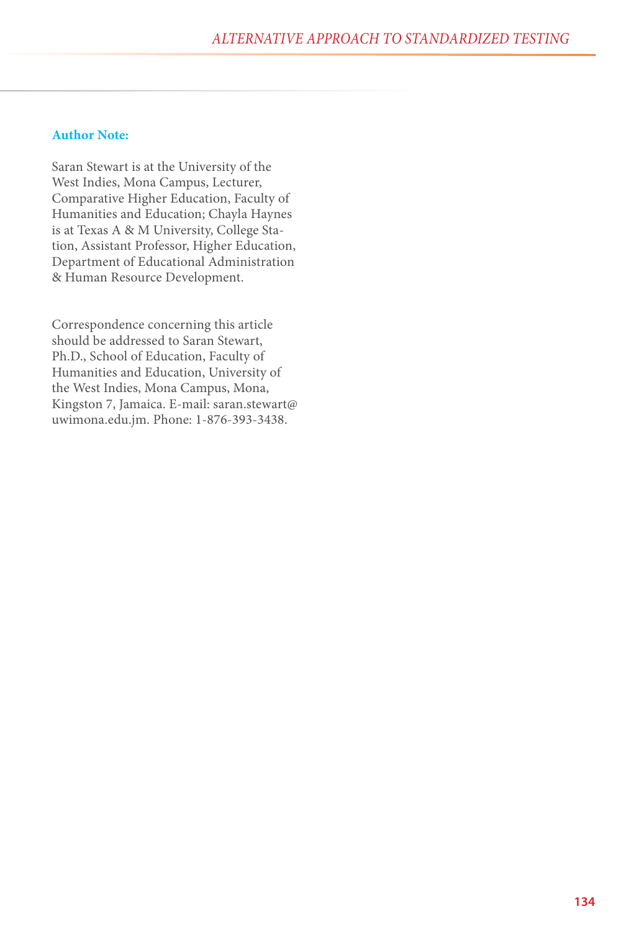#### **Author Note:**

Saran Stewart is at the University of the West Indies, Mona Campus, Lecturer, Comparative Higher Education, Faculty of Humanities and Education; Chayla Haynes is at Texas A & M University, College Station, Assistant Professor, Higher Education, Department of Educational Administration & Human Resource Development.

Correspondence concerning this article should be addressed to Saran Stewart, Ph.D., School of Education, Faculty of Humanities and Education, University of the West Indies, Mona Campus, Mona, Kingston 7, Jamaica. E-mail: saran.stewart@ uwimona.edu.jm. Phone: 1-876-393-3438.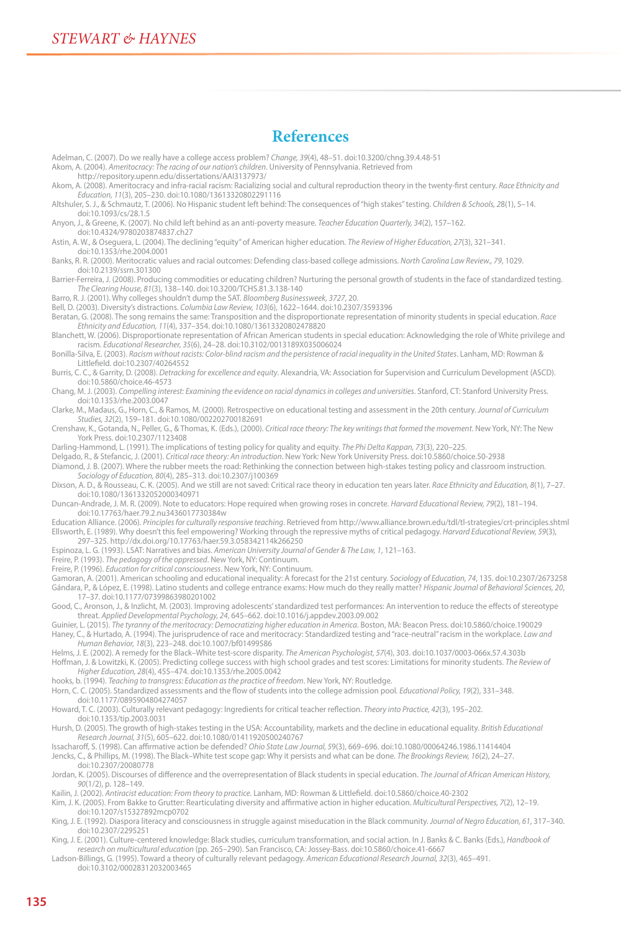#### **References**

Adelman, C. (2007). Do we really have a college access problem? *Change, 39*(4), 48–51. doi:10.3200/chng.39.4.48-51 Akom, A. (2004). *Ameritocracy: The racing of our nation's children*. University of Pennsylvania. Retrieved from http://repository.upenn.edu/dissertations/AAI3137973/ Akom, A. (2008). Ameritocracy and infra-racial racism: Racializing social and cultural reproduction theory in the twenty-first century. *Race Ethnicity and Education, 11*(3), 205–230. doi:10.1080/13613320802291116 Altshuler, S. J., & Schmautz, T. (2006). No Hispanic student left behind: The consequences of "high stakes" testing. *Children & Schools, 2*8(1), 5–14. doi:10.1093/cs/28.1.5 Anyon, J., & Greene, K. (2007). No child left behind as an anti-poverty measure. *Teacher Education Quarterly, 34*(2), 157–162. doi:10.4324/9780203874837.ch27 Astin, A. W., & Oseguera, L. (2004). The declining "equity" of American higher education. *The Review of Higher Education, 27*(3), 321–341. doi:10.1353/rhe.2004.0001 Banks, R. R. (2000). Meritocratic values and racial outcomes: Defending class-based college admissions. *North Carolina Law Review., 79*, 1029. doi:10.2139/ssrn.301300 Barrier-Ferreira, J. (2008). Producing commodities or educating children? Nurturing the personal growth of students in the face of standardized testing. *The Clearing House, 81*(3), 138–140. doi:10.3200/TCHS.81.3.138-140 Barro, R. J. (2001). Why colleges shouldn't dump the SAT. *Bloomberg Businessweek, 3727*, 20. Bell, D. (2003). Diversity's distractions. *Columbia Law Review, 103*(6), 1622–1644. doi:10.2307/3593396 Beratan, G. (2008). The song remains the same: Transposition and the disproportionate representation of minority students in special education. *Race Ethnicity and Education, 11*(4), 337–354. doi:10.1080/13613320802478820 Blanchett, W. (2006). Disproportionate representation of African American students in special education: Acknowledging the role of White privilege and racism. *Educational Researcher, 35*(6), 24–28. doi:10.3102/0013189X035006024 Bonilla-Silva, E. (2003). *Racism without racists: Color-blind racism and the persistence of racial inequality in the United States*. Lanham, MD: Rowman & Littlefield. doi:10.2307/40264552 Burris, C. C., & Garrity, D. (2008). *Detracking for excellence and equity*. Alexandria, VA: Association for Supervision and Curriculum Development (ASCD). doi:10.5860/choice.46-4573 Chang, M. J. (2003). *Compelling interest: Examining the evidence on racial dynamics in colleges and universities*. Stanford, CT: Stanford University Press. doi:10.1353/rhe.2003.0047 Clarke, M., Madaus, G., Horn, C., & Ramos, M. (2000). Retrospective on educational testing and assessment in the 20th century. *Journal of Curriculum Studies, 32*(2), 159–181. doi:10.1080/002202700182691 Crenshaw, K., Gotanda, N., Peller, G., & Thomas, K. (Eds.), (2000). *Critical race theory: The key writings that formed the movement*. New York, NY: The New York Press. doi:10.2307/1123408 Darling-Hammond, L. (1991). The implications of testing policy for quality and equity. *The Phi Delta Kappan, 73*(3), 220–225.<br>Delgado, R., & Stefancic, J. (2001). *Critical race theory: An introduction*. New York: New Yor Diamond, J. B. (2007). Where the rubber meets the road: Rethinking the connection between high-stakes testing policy and classroom instruction. *Sociology of Education, 80*(4), 285–313. doi:10.2307/j100369 Dixson, A. D., & Rousseau, C. K. (2005). And we still are not saved: Critical race theory in education ten years later. *Race Ethnicity and Education, 8*(1), 7–27. doi:10.1080/1361332052000340971 Duncan-Andrade, J. M. R. (2009). Note to educators: Hope required when growing roses in concrete. *Harvard Educational Review, 79*(2), 181–194. doi:10.17763/haer.79.2.nu3436017730384w Education Alliance. (2006). *Principles for culturally responsive teaching*. Retrieved from http://www.alliance.brown.edu/tdl/tl-strategies/crt-principles.shtml Ellsworth, E. (1989). Why doesn't this feel empowering? Working through the repressive myths of critical pedagogy. *Harvard Educational Review, 59*(3), 297–325. http://dx.doi.org/10.17763/haer.59.3.058342114k266250 Espinoza, L. G. (1993). LSAT: Narratives and bias. *American University Journal of Gender & The Law, 1*, 121–163. Freire, P. (1993). *The pedagogy of the oppressed*. New York, NY: Continuum. Freire, P. (1996). *Education for critical consciousness*. New York, NY: Continuum. Gamoran, A. (2001). American schooling and educational inequality: A forecast for the 21st century. *Sociology of Education, 74*, 135. doi:10.2307/2673258 Gándara, P., & López, E. (1998). Latino students and college entrance exams: How much do they really matter? *Hispanic Journal of Behavioral Sciences, 20*, 17–37. doi:10.1177/07399863980201002 Good, C., Aronson, J., & Inzlicht, M. (2003). Improving adolescents' standardized test performances: An intervention to reduce the effects of stereotype threat. Applied Developmental Psychology, 24, 645–662. doi:10.1016/j.appdev.2003.09.002<br>Guinier, L. (2015). The tyranny of the meritocracy: Democratizing higher education in America. Boston, MA: Beacon Press. doi:10.5860/c

Haney, C., & Hurtado, A. (1994). The jurisprudence of race and meritocracy: Standardized testing and "race-neutral" racism in the workplace. *Law and Human Behavior, 18*(3), 223–248. doi:10.1007/bf01499586

Helms, J. E. (2002). A remedy for the Black–White test-score disparity. *The American Psychologist, 57*(4), 303. doi:10.1037/0003-066x.57.4.303b Hoffman, J. & Lowitzki, K. (2005). Predicting college success with high school grades and test scores: Limitations for minority students. *The Review of*<br>Higher Education, 28(4), 455–474. doi:10.1353/rhe.2005.0042

hooks, b. (1994). *Teaching to transgress: Education as the practice of freedom*. New York, NY: Routledge.

Horn, C. C. (2005). Standardized assessments and the flow of students into the college admission pool. *Educational Policy, 19*(2), 331–348. doi:10.1177/0895904804274057

Howard, T. C. (2003). Culturally relevant pedagogy: Ingredients for critical teacher reflection. *Theory into Practice, 42*(3), 195–202. doi:10.1353/tip.2003.0031

Hursh, D. (2005). The growth of high‐stakes testing in the USA: Accountability, markets and the decline in educational equality. *British Educational Research Journal, 31*(5), 605–622. doi:10.1080/01411920500240767

Issacharoff, S. (1998). Can affirmative action be defended? *Ohio State Law Journal, 5*9(3), 669–696. doi:10.1080/00064246.1986.11414404 Jencks, C., & Phillips, M. (1998). The Black–White test scope gap: Why it persists and what can be done. *The Brookings Review, 16*(2), 24–27. doi:10.2307/20080778

Jordan, K. (2005). Discourses of difference and the overrepresentation of Black students in special education. *The Journal of African American History, 90*(1/2), p. 128–149.

Kailin, J. (2002). *Antiracist education: From theory to practice*. Lanham, MD: Rowman & Littlefield. doi:10.5860/choice.40-2302

Kim, J. K. (2005). From Bakke to Grutter: Rearticulating diversity and affirmative action in higher education. *Multicultural Perspectives, 7*(2), 12–19. doi:10.1207/s15327892mcp0702

King, J. E. (1992). Diaspora literacy and consciousness in struggle against miseducation in the Black community. *Journal of Negro Education, 61*, 317–340. doi:10.2307/2295251

King, J. E. (2001). Culture-centered knowledge: Black studies, curriculum transformation, and social action. In J. Banks & C. Banks (Eds.), *Handbook of research on multicultural education* (pp. 265–290). San Francisco, CA: Jossey-Bass. doi:10.5860/choice.41-6667

Ladson-Billings, G. (1995). Toward a theory of culturally relevant pedagogy. *American Educational Research Journal, 32*(3), 465–491. doi:10.3102/00028312032003465